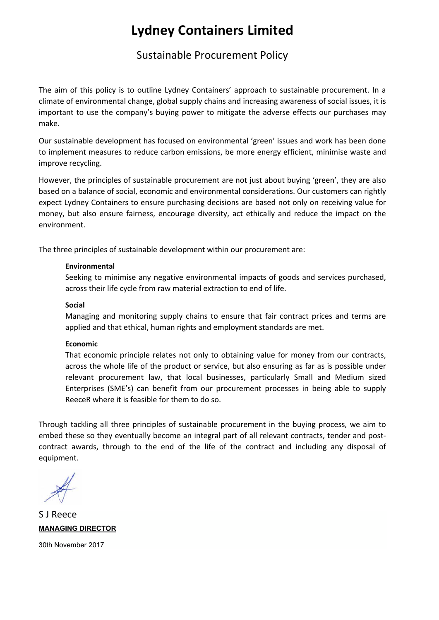## **Lydney Containers Limited**

### Sustainable Procurement Policy

The aim of this policy is to outline Lydney Containers' approach to sustainable procurement. In a climate of environmental change, global supply chains and increasing awareness of social issues, it is important to use the company's buying power to mitigate the adverse effects our purchases may make.

Our sustainable development has focused on environmental 'green' issues and work has been done to implement measures to reduce carbon emissions, be more energy efficient, minimise waste and improve recycling.

However, the principles of sustainable procurement are not just about buying 'green', they are also based on a balance of social, economic and environmental considerations. Our customers can rightly expect Lydney Containers to ensure purchasing decisions are based not only on receiving value for money, but also ensure fairness, encourage diversity, act ethically and reduce the impact on the environment.

The three principles of sustainable development within our procurement are:

#### **Environmental**

Seeking to minimise any negative environmental impacts of goods and services purchased, across their life cycle from raw material extraction to end of life.

#### **Social**

Managing and monitoring supply chains to ensure that fair contract prices and terms are applied and that ethical, human rights and employment standards are met.

#### **Economic**

That economic principle relates not only to obtaining value for money from our contracts, across the whole life of the product or service, but also ensuring as far as is possible under relevant procurement law, that local businesses, particularly Small and Medium sized Enterprises (SME's) can benefit from our procurement processes in being able to supply ReeceR where it is feasible for them to do so.

Through tackling all three principles of sustainable procurement in the buying process, we aim to embed these so they eventually become an integral part of all relevant contracts, tender and postcontract awards, through to the end of the life of the contract and including any disposal of equipment.

S J Reece **MANAGING DIRECTOR** 

30th November 2017